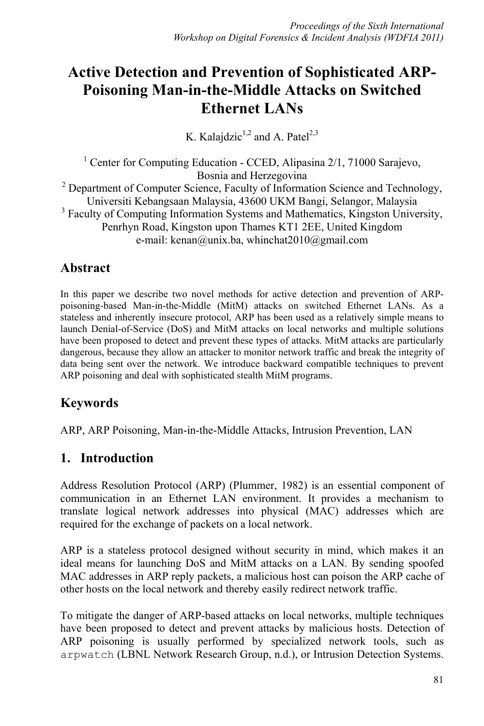# **Active Detection and Prevention of Sophisticated ARP-Poisoning Man-in-the-Middle Attacks on Switched Ethernet LANs**

K. Kalajdzic<sup>1,2</sup> and A. Patel<sup>2,3</sup>

<sup>1</sup> Center for Computing Education - CCED, Alipasina 2/1, 71000 Sarajevo, Bosnia and Herzegovina <sup>2</sup> Department of Computer Science, Faculty of Information Science and Technology, Universiti Kebangsaan Malaysia, 43600 UKM Bangi, Selangor, Malaysia <sup>3</sup> Faculty of Computing Information Systems and Mathematics, Kingston University, Penrhyn Road, Kingston upon Thames KT1 2EE, United Kingdom e-mail: kenan@unix.ba, whinchat2010@gmail.com

## **Abstract**

In this paper we describe two novel methods for active detection and prevention of ARPpoisoning-based Man-in-the-Middle (MitM) attacks on switched Ethernet LANs. As a stateless and inherently insecure protocol, ARP has been used as a relatively simple means to launch Denial-of-Service (DoS) and MitM attacks on local networks and multiple solutions have been proposed to detect and prevent these types of attacks. MitM attacks are particularly dangerous, because they allow an attacker to monitor network traffic and break the integrity of data being sent over the network. We introduce backward compatible techniques to prevent ARP poisoning and deal with sophisticated stealth MitM programs.

## **Keywords**

ARP, ARP Poisoning, Man-in-the-Middle Attacks, Intrusion Prevention, LAN

## **1. Introduction**

Address Resolution Protocol (ARP) (Plummer, 1982) is an essential component of communication in an Ethernet LAN environment. It provides a mechanism to translate logical network addresses into physical (MAC) addresses which are required for the exchange of packets on a local network.

ARP is a stateless protocol designed without security in mind, which makes it an ideal means for launching DoS and MitM attacks on a LAN. By sending spoofed MAC addresses in ARP reply packets, a malicious host can poison the ARP cache of other hosts on the local network and thereby easily redirect network traffic.

To mitigate the danger of ARP-based attacks on local networks, multiple techniques have been proposed to detect and prevent attacks by malicious hosts. Detection of ARP poisoning is usually performed by specialized network tools, such as arpwatch (LBNL Network Research Group, n.d.), or Intrusion Detection Systems.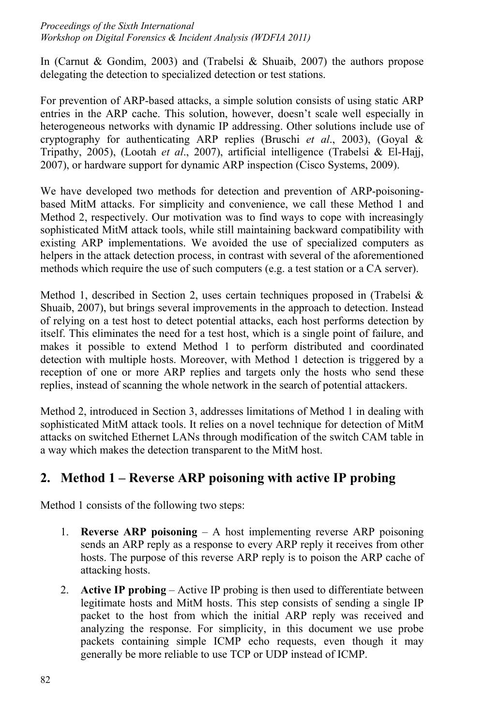In (Carnut & Gondim, 2003) and (Trabelsi & Shuaib, 2007) the authors propose delegating the detection to specialized detection or test stations.

For prevention of ARP-based attacks, a simple solution consists of using static ARP entries in the ARP cache. This solution, however, doesn't scale well especially in heterogeneous networks with dynamic IP addressing. Other solutions include use of cryptography for authenticating ARP replies (Bruschi *et al*., 2003), (Goyal & Tripathy, 2005), (Lootah *et al*., 2007), artificial intelligence (Trabelsi & El-Hajj, 2007), or hardware support for dynamic ARP inspection (Cisco Systems, 2009).

We have developed two methods for detection and prevention of ARP-poisoningbased MitM attacks. For simplicity and convenience, we call these Method 1 and Method 2, respectively. Our motivation was to find ways to cope with increasingly sophisticated MitM attack tools, while still maintaining backward compatibility with existing ARP implementations. We avoided the use of specialized computers as helpers in the attack detection process, in contrast with several of the aforementioned methods which require the use of such computers (e.g. a test station or a CA server).

Method 1, described in Section 2, uses certain techniques proposed in (Trabelsi  $\&$ Shuaib, 2007), but brings several improvements in the approach to detection. Instead of relying on a test host to detect potential attacks, each host performs detection by itself. This eliminates the need for a test host, which is a single point of failure, and makes it possible to extend Method 1 to perform distributed and coordinated detection with multiple hosts. Moreover, with Method 1 detection is triggered by a reception of one or more ARP replies and targets only the hosts who send these replies, instead of scanning the whole network in the search of potential attackers.

Method 2, introduced in Section 3, addresses limitations of Method 1 in dealing with sophisticated MitM attack tools. It relies on a novel technique for detection of MitM attacks on switched Ethernet LANs through modification of the switch CAM table in a way which makes the detection transparent to the MitM host.

## **2. Method 1 – Reverse ARP poisoning with active IP probing**

Method 1 consists of the following two steps:

- 1. **Reverse ARP poisoning** A host implementing reverse ARP poisoning sends an ARP reply as a response to every ARP reply it receives from other hosts. The purpose of this reverse ARP reply is to poison the ARP cache of attacking hosts.
- 2. **Active IP probing** Active IP probing is then used to differentiate between legitimate hosts and MitM hosts. This step consists of sending a single IP packet to the host from which the initial ARP reply was received and analyzing the response. For simplicity, in this document we use probe packets containing simple ICMP echo requests, even though it may generally be more reliable to use TCP or UDP instead of ICMP.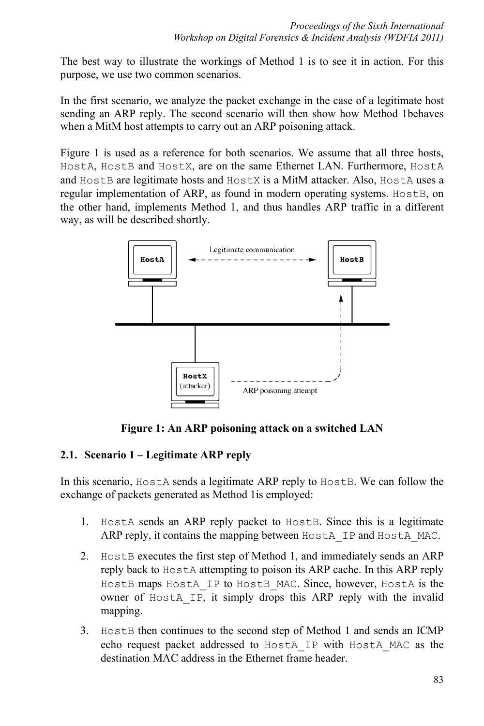The best way to illustrate the workings of Method 1 is to see it in action. For this purpose, we use two common scenarios.

In the first scenario, we analyze the packet exchange in the case of a legitimate host sending an ARP reply. The second scenario will then show how Method 1behaves when a MitM host attempts to carry out an ARP poisoning attack.

Figure 1 is used as a reference for both scenarios. We assume that all three hosts, HostA, HostB and HostX, are on the same Ethernet LAN. Furthermore, HostA and HostB are legitimate hosts and HostX is a MitM attacker. Also, HostA uses a regular implementation of ARP, as found in modern operating systems. HostB, on the other hand, implements Method 1, and thus handles ARP traffic in a different way, as will be described shortly.



**Figure 1: An ARP poisoning attack on a switched LAN**

### **2.1. Scenario 1 – Legitimate ARP reply**

In this scenario, Host A sends a legitimate ARP reply to Host B. We can follow the exchange of packets generated as Method 1is employed:

- 1. HostA sends an ARP reply packet to HostB. Since this is a legitimate ARP reply, it contains the mapping between HostA\_IP and HostA\_MAC.
- 2. HostB executes the first step of Method 1, and immediately sends an ARP reply back to HostA attempting to poison its ARP cache. In this ARP reply HostB maps HostA IP to HostB MAC. Since, however, HostA is the owner of HostA\_IP, it simply drops this ARP reply with the invalid mapping.
- 3. HostB then continues to the second step of Method 1 and sends an ICMP echo request packet addressed to HostA\_IP with HostA\_MAC as the destination MAC address in the Ethernet frame header.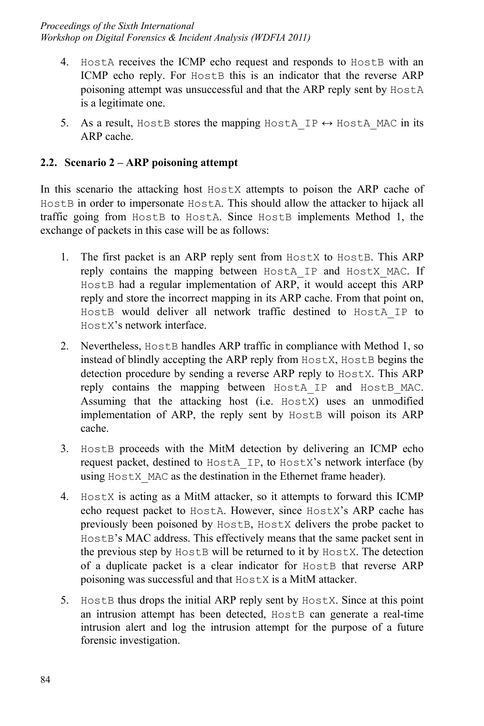- 4. Host A receives the ICMP echo request and responds to Host B with an ICMP echo reply. For HostB this is an indicator that the reverse ARP poisoning attempt was unsuccessful and that the ARP reply sent by HostA is a legitimate one.
- 5. As a result, HostB stores the mapping HostA IP  $\leftrightarrow$  HostA MAC in its ARP cache.

#### **2.2. Scenario 2 – ARP poisoning attempt**

In this scenario the attacking host  $H$ ostX attempts to poison the ARP cache of HostB in order to impersonate HostA. This should allow the attacker to hijack all traffic going from HostB to HostA. Since HostB implements Method 1, the exchange of packets in this case will be as follows:

- 1. The first packet is an ARP reply sent from HostX to HostB. This ARP reply contains the mapping between HostA\_IP and HostX\_MAC. If HostB had a regular implementation of ARP, it would accept this ARP reply and store the incorrect mapping in its ARP cache. From that point on, HostB would deliver all network traffic destined to HostA\_IP to HostX's network interface.
- 2. Nevertheless, HostB handles ARP traffic in compliance with Method 1, so instead of blindly accepting the ARP reply from HostX, HostB begins the detection procedure by sending a reverse ARP reply to Host X. This ARP reply contains the mapping between HostA\_IP and HostB\_MAC. Assuming that the attacking host (i.e. HostX) uses an unmodified implementation of ARP, the reply sent by HostB will poison its ARP cache.
- 3. HostB proceeds with the MitM detection by delivering an ICMP echo request packet, destined to HostA\_IP, to HostX's network interface (by using HostX MAC as the destination in the Ethernet frame header).
- 4. HostX is acting as a MitM attacker, so it attempts to forward this ICMP echo request packet to HostA. However, since HostX's ARP cache has previously been poisoned by HostB, HostX delivers the probe packet to HostB's MAC address. This effectively means that the same packet sent in the previous step by HostB will be returned to it by HostX. The detection of a duplicate packet is a clear indicator for HostB that reverse ARP poisoning was successful and that HostX is a MitM attacker.
- 5. HostB thus drops the initial ARP reply sent by HostX. Since at this point an intrusion attempt has been detected, Host B can generate a real-time intrusion alert and log the intrusion attempt for the purpose of a future forensic investigation.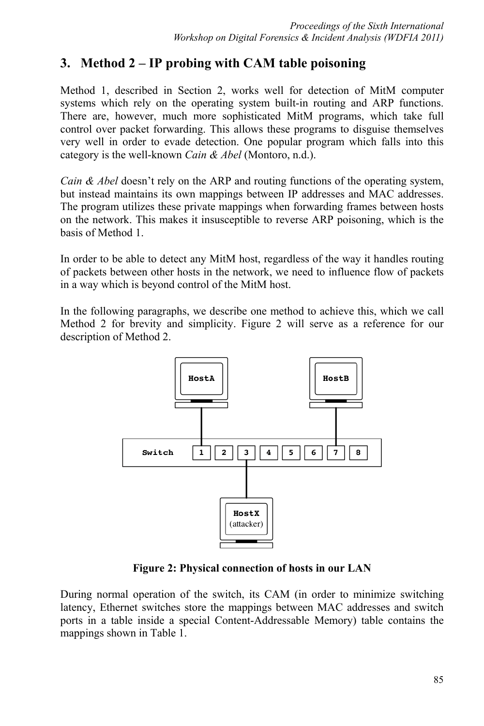## **3. Method 2 – IP probing with CAM table poisoning**

Method 1, described in Section 2, works well for detection of MitM computer systems which rely on the operating system built-in routing and ARP functions. There are, however, much more sophisticated MitM programs, which take full control over packet forwarding. This allows these programs to disguise themselves very well in order to evade detection. One popular program which falls into this category is the well-known *Cain & Abel* (Montoro, n.d.).

*Cain & Abel* doesn't rely on the ARP and routing functions of the operating system, but instead maintains its own mappings between IP addresses and MAC addresses. The program utilizes these private mappings when forwarding frames between hosts on the network. This makes it insusceptible to reverse ARP poisoning, which is the basis of Method 1.

In order to be able to detect any MitM host, regardless of the way it handles routing of packets between other hosts in the network, we need to influence flow of packets in a way which is beyond control of the MitM host.

In the following paragraphs, we describe one method to achieve this, which we call Method 2 for brevity and simplicity. Figure 2 will serve as a reference for our description of Method 2.



**Figure 2: Physical connection of hosts in our LAN**

During normal operation of the switch, its CAM (in order to minimize switching latency, Ethernet switches store the mappings between MAC addresses and switch ports in a table inside a special Content-Addressable Memory) table contains the mappings shown in Table 1.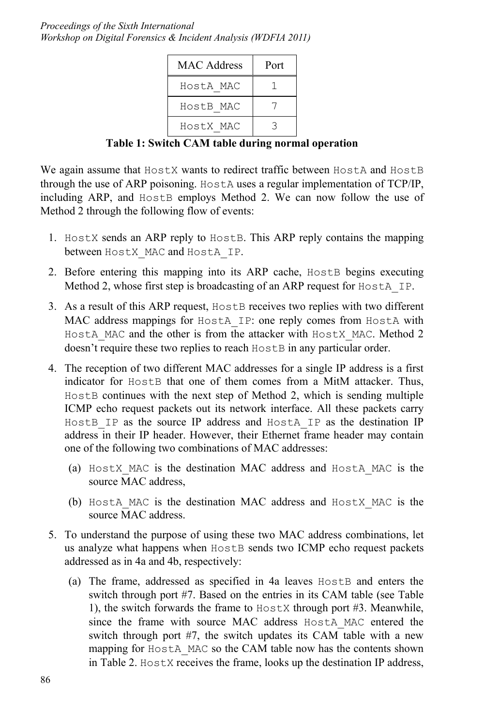*Proceedings of the Sixth International Workshop on Digital Forensics & Incident Analysis (WDFIA 2011)* 

| <b>MAC</b> Address | Port |
|--------------------|------|
| HostA MAC          |      |
| HostB MAC          |      |
| HostX MAC          | っ    |

**Table 1: Switch CAM table during normal operation** 

We again assume that  $H \circ f X$  wants to redirect traffic between  $H \circ f A$  and  $H \circ f B$ through the use of ARP poisoning. HostA uses a regular implementation of TCP/IP, including ARP, and HostB employs Method 2. We can now follow the use of Method 2 through the following flow of events:

- 1. HostX sends an ARP reply to HostB. This ARP reply contains the mapping between HostX\_MAC and HostA\_IP.
- 2. Before entering this mapping into its ARP cache, HostB begins executing Method 2, whose first step is broadcasting of an ARP request for HostA IP.
- 3. As a result of this ARP request, HostB receives two replies with two different MAC address mappings for HostA\_IP: one reply comes from HostA with HostA MAC and the other is from the attacker with HostX MAC. Method 2 doesn't require these two replies to reach  $H$ ost B in any particular order.
- 4. The reception of two different MAC addresses for a single IP address is a first indicator for Host B that one of them comes from a MitM attacker. Thus, HostB continues with the next step of Method 2, which is sending multiple ICMP echo request packets out its network interface. All these packets carry HostB IP as the source IP address and HostA IP as the destination IP address in their IP header. However, their Ethernet frame header may contain one of the following two combinations of MAC addresses:
	- (a) HostX\_MAC is the destination MAC address and HostA\_MAC is the source MAC address,
	- (b) HostA\_MAC is the destination MAC address and HostX\_MAC is the source MAC address.
- 5. To understand the purpose of using these two MAC address combinations, let us analyze what happens when HostB sends two ICMP echo request packets addressed as in 4a and 4b, respectively:
	- (a) The frame, addressed as specified in 4a leaves HostB and enters the switch through port #7. Based on the entries in its CAM table (see Table 1), the switch forwards the frame to HostX through port #3. Meanwhile, since the frame with source MAC address HostA MAC entered the switch through port #7, the switch updates its CAM table with a new mapping for HostA MAC so the CAM table now has the contents shown in Table 2. HostX receives the frame, looks up the destination IP address,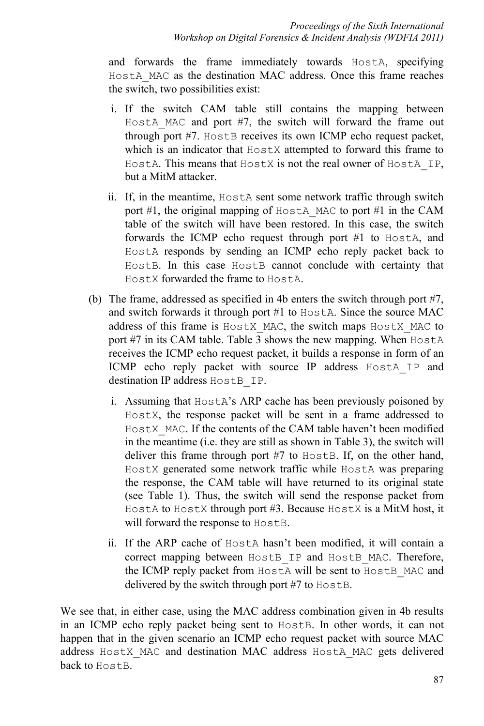and forwards the frame immediately towards HostA, specifying HostA\_MAC as the destination MAC address. Once this frame reaches the switch, two possibilities exist:

- i. If the switch CAM table still contains the mapping between HostA MAC and port #7, the switch will forward the frame out through port #7. Host B receives its own ICMP echo request packet, which is an indicator that  $H$ <sub>os</sub>tx attempted to forward this frame to HostA. This means that HostX is not the real owner of HostA\_IP, but a MitM attacker.
- ii. If, in the meantime, HostA sent some network traffic through switch port #1, the original mapping of HostA MAC to port #1 in the CAM table of the switch will have been restored. In this case, the switch forwards the ICMP echo request through port #1 to HostA, and HostA responds by sending an ICMP echo reply packet back to HostB. In this case HostB cannot conclude with certainty that HostX forwarded the frame to HostA.
- (b) The frame, addressed as specified in 4b enters the switch through port #7, and switch forwards it through port #1 to HostA. Since the source MAC address of this frame is HostX\_MAC, the switch maps HostX\_MAC to port #7 in its CAM table. Table 3 shows the new mapping. When HostA receives the ICMP echo request packet, it builds a response in form of an ICMP echo reply packet with source IP address HostA IP and destination IP address HostB\_IP.
	- i. Assuming that HostA's ARP cache has been previously poisoned by HostX, the response packet will be sent in a frame addressed to HostX MAC. If the contents of the CAM table haven't been modified in the meantime (i.e. they are still as shown in Table 3), the switch will deliver this frame through port #7 to HostB. If, on the other hand, HostX generated some network traffic while HostA was preparing the response, the CAM table will have returned to its original state (see Table 1). Thus, the switch will send the response packet from HostA to HostX through port #3. Because HostX is a MitM host, it will forward the response to HostB.
	- ii. If the ARP cache of HostA hasn't been modified, it will contain a correct mapping between HostB IP and HostB MAC. Therefore, the ICMP reply packet from HostA will be sent to HostB\_MAC and delivered by the switch through port #7 to HostB.

We see that, in either case, using the MAC address combination given in 4b results in an ICMP echo reply packet being sent to HostB. In other words, it can not happen that in the given scenario an ICMP echo request packet with source MAC address HostX\_MAC and destination MAC address HostA\_MAC gets delivered back to HostB.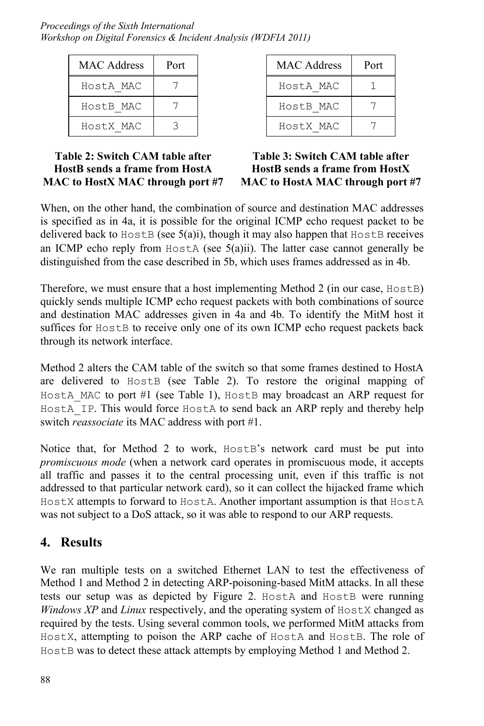| <b>MAC</b> Address | Port |
|--------------------|------|
| HostA MAC          |      |
| HostB MAC          |      |
| HostX MAC          | ੨    |

| <b>MAC</b> Address | Port |
|--------------------|------|
| HostA MAC          |      |
| HostB MAC          |      |
| HostX MAC          |      |

#### **Table 2: Switch CAM table after HostB sends a frame from HostA MAC to HostX MAC through port #7**

**Table 3: Switch CAM table after HostB sends a frame from HostX MAC to HostA MAC through port #7** 

When, on the other hand, the combination of source and destination MAC addresses is specified as in 4a, it is possible for the original ICMP echo request packet to be delivered back to  $H \circ tB$  (see  $5(a)i$ ), though it may also happen that  $H \circ tB$  receives an ICMP echo reply from  $H \circ \mathcal{A}$  (see  $\mathcal{A}(a)$ ii). The latter case cannot generally be distinguished from the case described in 5b, which uses frames addressed as in 4b.

Therefore, we must ensure that a host implementing Method 2 (in our case, HostB) quickly sends multiple ICMP echo request packets with both combinations of source and destination MAC addresses given in 4a and 4b. To identify the MitM host it suffices for HostB to receive only one of its own ICMP echo request packets back through its network interface.

Method 2 alters the CAM table of the switch so that some frames destined to HostA are delivered to HostB (see Table 2). To restore the original mapping of HostA MAC to port #1 (see Table 1), HostB may broadcast an ARP request for HostA IP. This would force HostA to send back an ARP reply and thereby help switch *reassociate* its MAC address with port #1.

Notice that, for Method 2 to work, HostB's network card must be put into *promiscuous mode* (when a network card operates in promiscuous mode, it accepts all traffic and passes it to the central processing unit, even if this traffic is not addressed to that particular network card), so it can collect the hijacked frame which HostX attempts to forward to HostA. Another important assumption is that HostA was not subject to a DoS attack, so it was able to respond to our ARP requests.

## **4. Results**

We ran multiple tests on a switched Ethernet LAN to test the effectiveness of Method 1 and Method 2 in detecting ARP-poisoning-based MitM attacks. In all these tests our setup was as depicted by Figure 2. Host A and Host B were running *Windows XP* and *Linux* respectively, and the operating system of HostX changed as required by the tests. Using several common tools, we performed MitM attacks from HostX, attempting to poison the ARP cache of HostA and HostB. The role of HostB was to detect these attack attempts by employing Method 1 and Method 2.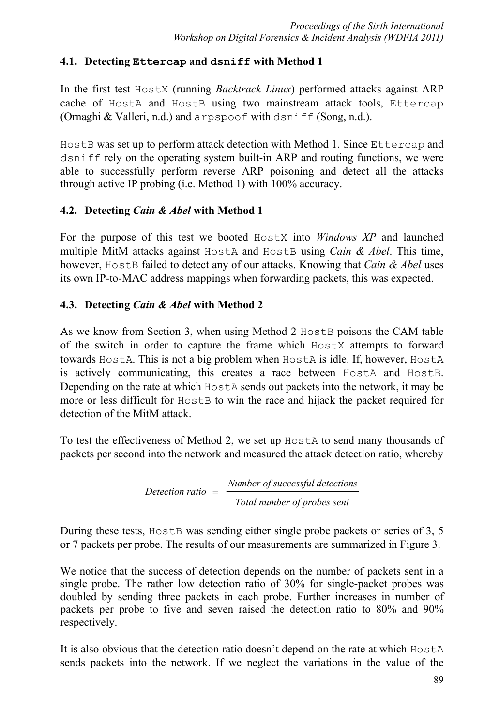### **4.1. Detecting Ettercap and dsniff with Method 1**

In the first test HostX (running *Backtrack Linux*) performed attacks against ARP cache of HostA and HostB using two mainstream attack tools, Ettercap (Ornaghi & Valleri, n.d.) and arpspoof with dsniff (Song, n.d.).

HostB was set up to perform attack detection with Method 1. Since Ettercap and dsniff rely on the operating system built-in ARP and routing functions, we were able to successfully perform reverse ARP poisoning and detect all the attacks through active IP probing (i.e. Method 1) with 100% accuracy.

### **4.2. Detecting** *Cain & Abel* **with Method 1**

For the purpose of this test we booted HostX into *Windows XP* and launched multiple MitM attacks against HostA and HostB using *Cain & Abel*. This time, however, HostB failed to detect any of our attacks. Knowing that *Cain & Abel* uses its own IP-to-MAC address mappings when forwarding packets, this was expected.

### **4.3. Detecting** *Cain & Abel* **with Method 2**

As we know from Section 3, when using Method 2 Host B poisons the CAM table of the switch in order to capture the frame which HostX attempts to forward towards HostA. This is not a big problem when HostA is idle. If, however, HostA is actively communicating, this creates a race between HostA and HostB. Depending on the rate at which  $H \circ f$  sends out packets into the network, it may be more or less difficult for HostB to win the race and hijack the packet required for detection of the MitM attack.

To test the effectiveness of Method 2, we set up HostA to send many thousands of packets per second into the network and measured the attack detection ratio, whereby

$$
Detection ratio = \frac{Number of successful detections}{Total number of probes sent}
$$

During these tests, Host B was sending either single probe packets or series of 3, 5 or 7 packets per probe. The results of our measurements are summarized in Figure 3.

We notice that the success of detection depends on the number of packets sent in a single probe. The rather low detection ratio of 30% for single-packet probes was doubled by sending three packets in each probe. Further increases in number of packets per probe to five and seven raised the detection ratio to 80% and 90% respectively.

It is also obvious that the detection ratio doesn't depend on the rate at which HostA sends packets into the network. If we neglect the variations in the value of the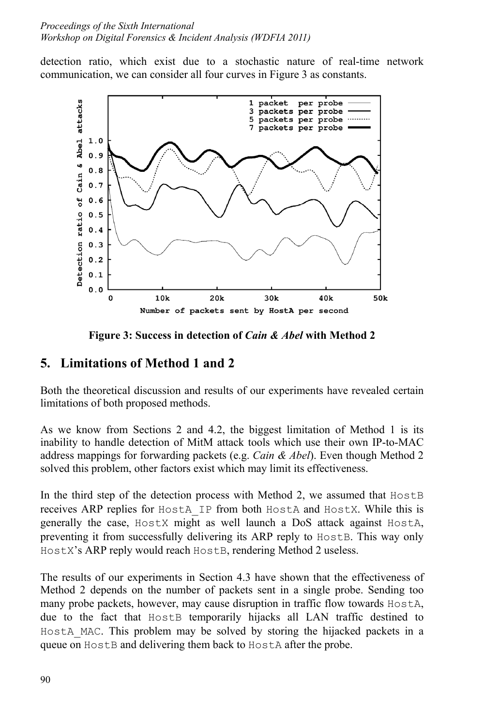detection ratio, which exist due to a stochastic nature of real-time network communication, we can consider all four curves in Figure 3 as constants.



**Figure 3: Success in detection of** *Cain & Abel* **with Method 2** 

## **5. Limitations of Method 1 and 2**

Both the theoretical discussion and results of our experiments have revealed certain limitations of both proposed methods.

As we know from Sections 2 and 4.2, the biggest limitation of Method 1 is its inability to handle detection of MitM attack tools which use their own IP-to-MAC address mappings for forwarding packets (e.g. *Cain & Abel*). Even though Method 2 solved this problem, other factors exist which may limit its effectiveness.

In the third step of the detection process with Method 2, we assumed that  $H$ ost B receives ARP replies for HostA\_IP from both HostA and HostX. While this is generally the case, HostX might as well launch a DoS attack against HostA, preventing it from successfully delivering its ARP reply to Host B. This way only HostX's ARP reply would reach HostB, rendering Method 2 useless.

The results of our experiments in Section 4.3 have shown that the effectiveness of Method 2 depends on the number of packets sent in a single probe. Sending too many probe packets, however, may cause disruption in traffic flow towards HostA, due to the fact that HostB temporarily hijacks all LAN traffic destined to HostA MAC. This problem may be solved by storing the hijacked packets in a queue on HostB and delivering them back to HostA after the probe.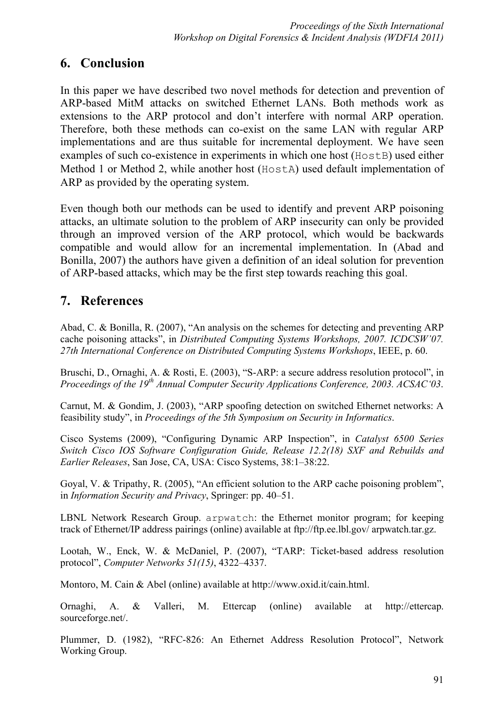### **6. Conclusion**

In this paper we have described two novel methods for detection and prevention of ARP-based MitM attacks on switched Ethernet LANs. Both methods work as extensions to the ARP protocol and don't interfere with normal ARP operation. Therefore, both these methods can co-exist on the same LAN with regular ARP implementations and are thus suitable for incremental deployment. We have seen examples of such co-existence in experiments in which one host (Host B) used either Method 1 or Method 2, while another host (HostA) used default implementation of ARP as provided by the operating system.

Even though both our methods can be used to identify and prevent ARP poisoning attacks, an ultimate solution to the problem of ARP insecurity can only be provided through an improved version of the ARP protocol, which would be backwards compatible and would allow for an incremental implementation. In (Abad and Bonilla, 2007) the authors have given a definition of an ideal solution for prevention of ARP-based attacks, which may be the first step towards reaching this goal.

## **7. References**

Abad, C. & Bonilla, R. (2007), "An analysis on the schemes for detecting and preventing ARP cache poisoning attacks", in *Distributed Computing Systems Workshops, 2007. ICDCSW'07. 27th International Conference on Distributed Computing Systems Workshops*, IEEE, p. 60.

Bruschi, D., Ornaghi, A. & Rosti, E. (2003), "S-ARP: a secure address resolution protocol", in *Proceedings of the 19th Annual Computer Security Applications Conference, 2003. ACSAC'03*.

Carnut, M. & Gondim, J. (2003), "ARP spoofing detection on switched Ethernet networks: A feasibility study", in *Proceedings of the 5th Symposium on Security in Informatics*.

Cisco Systems (2009), "Configuring Dynamic ARP Inspection", in *Catalyst 6500 Series Switch Cisco IOS Software Configuration Guide, Release 12.2(18) SXF and Rebuilds and Earlier Releases*, San Jose, CA, USA: Cisco Systems, 38:1–38:22.

Goyal, V. & Tripathy, R. (2005), "An efficient solution to the ARP cache poisoning problem", in *Information Security and Privacy*, Springer: pp. 40–51.

LBNL Network Research Group. arpwatch: the Ethernet monitor program; for keeping track of Ethernet/IP address pairings (online) available at ftp://ftp.ee.lbl.gov/ arpwatch.tar.gz.

Lootah, W., Enck, W. & McDaniel, P. (2007), "TARP: Ticket-based address resolution protocol", *Computer Networks 51(15)*, 4322–4337.

Montoro, M. Cain & Abel (online) available at http://www.oxid.it/cain.html.

Ornaghi, A. & Valleri, M. Ettercap (online) available at http://ettercap. sourceforge.net/.

Plummer, D. (1982), "RFC-826: An Ethernet Address Resolution Protocol", Network Working Group.